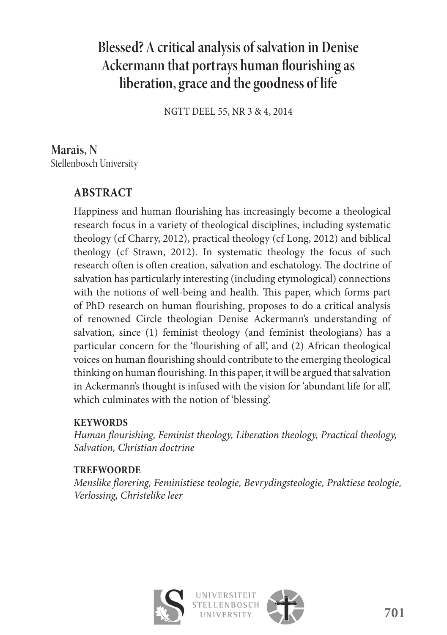# **Blessed? A critical analysis of salvation in Denise**  Ackermann that portrays human flourishing as **liberation, grace and the goodness of life**

NGTT DEEL 55, NR 3 & 4, 2014

**Marais, N**  Stellenbosch University

# **ABSTRACT**

Happiness and human flourishing has increasingly become a theological research focus in a variety of theological disciplines, including systematic theology (cf Charry, 2012), practical theology (cf Long, 2012) and biblical theology (cf Strawn, 2012). In systematic theology the focus of such research often is often creation, salvation and eschatology. The doctrine of salvation has particularly interesting (including etymological) connections with the notions of well-being and health. This paper, which forms part of PhD research on human flourishing, proposes to do a critical analysis of renowned Circle theologian Denise Ackermann's understanding of salvation, since (1) feminist theology (and feminist theologians) has a particular concern for the 'flourishing of all', and (2) African theological voices on human flourishing should contribute to the emerging theological thinking on human flourishing. In this paper, it will be argued that salvation in Ackermann's thought is infused with the vision for 'abundant life for all', which culminates with the notion of 'blessing'.

## **KEYWORDS**

*Human flourishing, Feminist theology, Liberation theology, Practical theology, Salvation, Christian doctrine*

## **TREFWOORDE**

*Menslike fl orering, Feministiese teologie, Bevrydingsteologie, Praktiese teologie, Verlossing, Christelike leer*





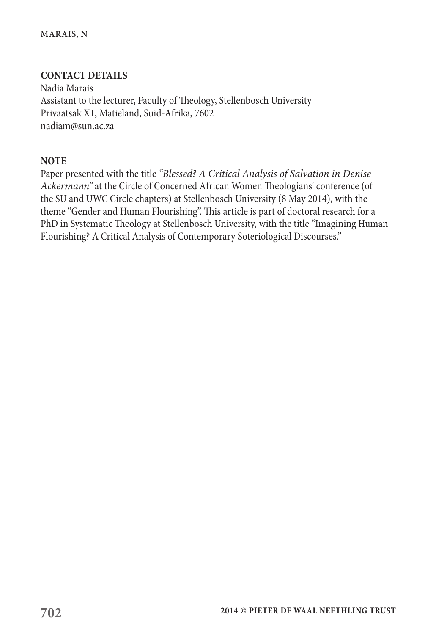#### **CONTACT DETAILS**

Nadia Marais Assistant to the lecturer, Faculty of Theology, Stellenbosch University Privaatsak X1, Matieland, Suid-Afrika, 7602 nadiam@sun.ac.za

#### **NOTE**

Paper presented with the title *"Blessed? A Critical Analysis of Salvation in Denise Ackermann"* at the Circle of Concerned African Women Theologians' conference (of the SU and UWC Circle chapters) at Stellenbosch University (8 May 2014), with the theme "Gender and Human Flourishing". This article is part of doctoral research for a PhD in Systematic Theology at Stellenbosch University, with the title "Imagining Human Flourishing? A Critical Analysis of Contemporary Soteriological Discourses."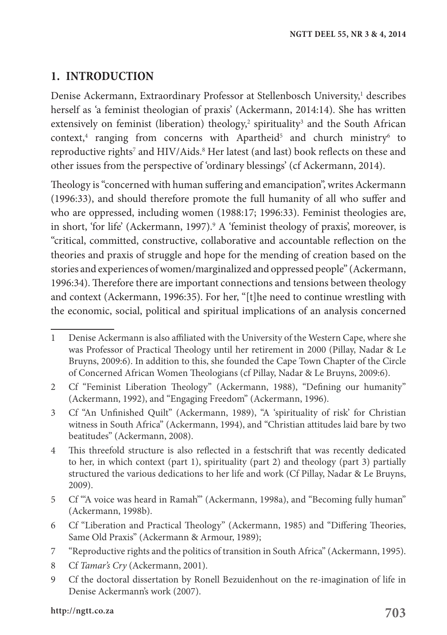# **1. INTRODUCTION**

Denise Ackermann, Extraordinary Professor at Stellenbosch University,<sup>1</sup> describes herself as 'a feminist theologian of praxis' (Ackermann, 2014:14). She has written extensively on feminist (liberation) theology,<sup>2</sup> spirituality<sup>3</sup> and the South African context,<sup>4</sup> ranging from concerns with Apartheid<sup>5</sup> and church ministry<sup>6</sup> to reproductive rights<sup>7</sup> and HIV/Aids.<sup>8</sup> Her latest (and last) book reflects on these and other issues from the perspective of 'ordinary blessings' (cf Ackermann, 2014).

Theology is "concerned with human suffering and emancipation", writes Ackermann (1996:33), and should therefore promote the full humanity of all who suffer and who are oppressed, including women (1988:17; 1996:33). Feminist theologies are, in short, 'for life' (Ackermann, 1997).<sup>9</sup> A 'feminist theology of praxis', moreover, is "critical, committed, constructive, collaborative and accountable reflection on the theories and praxis of struggle and hope for the mending of creation based on the stories and experiences of women/marginalized and oppressed people" (Ackermann, 1996:34). Therefore there are important connections and tensions between theology and context (Ackermann, 1996:35). For her, "[t]he need to continue wrestling with the economic, social, political and spiritual implications of an analysis concerned

8 Cf *Tamar's Cry* (Ackermann, 2001).

<sup>1</sup> Denise Ackermann is also affiliated with the University of the Western Cape, where she was Professor of Practical Theology until her retirement in 2000 (Pillay, Nadar & Le Bruyns, 2009:6). In addition to this, she founded the Cape Town Chapter of the Circle of Concerned African Women Theologians (cf Pillay, Nadar & Le Bruyns, 2009:6).

<sup>2</sup> Cf "Feminist Liberation Theology" (Ackermann, 1988), "Defining our humanity" (Ackermann, 1992), and "Engaging Freedom" (Ackermann, 1996).

<sup>3</sup> Cf "An Unfinished Quilt" (Ackermann, 1989), "A 'spirituality of risk' for Christian witness in South Africa" (Ackermann, 1994), and "Christian attitudes laid bare by two beatitudes" (Ackermann, 2008).

<sup>4</sup> This threefold structure is also reflected in a festschrift that was recently dedicated to her, in which context (part 1), spirituality (part 2) and theology (part 3) partially structured the various dedications to her life and work (Cf Pillay, Nadar & Le Bruyns, 2009).

<sup>5</sup> Cf "'A voice was heard in Ramah'" (Ackermann, 1998a), and "Becoming fully human" (Ackermann, 1998b).

<sup>6</sup> Cf "Liberation and Practical Theology" (Ackermann, 1985) and "Differing Theories, Same Old Praxis" (Ackermann & Armour, 1989);

<sup>7</sup> "Reproductive rights and the politics of transition in South Africa" (Ackermann, 1995).

<sup>9</sup> Cf the doctoral dissertation by Ronell Bezuidenhout on the re-imagination of life in Denise Ackermann's work (2007).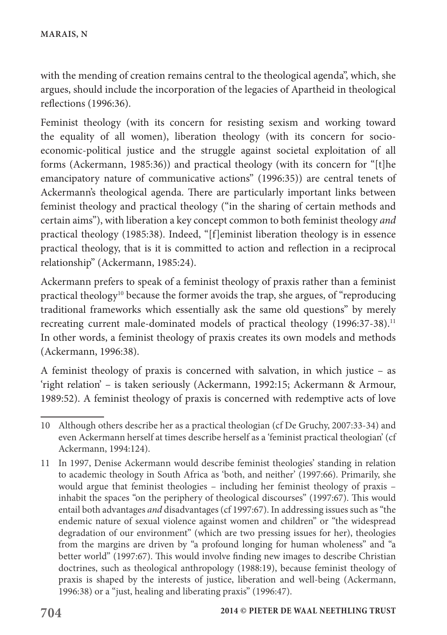with the mending of creation remains central to the theological agenda", which, she argues, should include the incorporation of the legacies of Apartheid in theological reflections (1996:36).

Feminist theology (with its concern for resisting sexism and working toward the equality of all women), liberation theology (with its concern for socioeconomic-political justice and the struggle against societal exploitation of all forms (Ackermann, 1985:36)) and practical theology (with its concern for "[t]he emancipatory nature of communicative actions" (1996:35)) are central tenets of Ackermann's theological agenda. There are particularly important links between feminist theology and practical theology ("in the sharing of certain methods and certain aims"), with liberation a key concept common to both feminist theology *and* practical theology (1985:38). Indeed, "[f]eminist liberation theology is in essence practical theology, that is it is committed to action and reflection in a reciprocal relationship" (Ackermann, 1985:24).

Ackermann prefers to speak of a feminist theology of praxis rather than a feminist practical theology10 because the former avoids the trap, she argues, of "reproducing traditional frameworks which essentially ask the same old questions" by merely recreating current male-dominated models of practical theology (1996:37-38).<sup>11</sup> In other words, a feminist theology of praxis creates its own models and methods (Ackermann, 1996:38).

A feminist theology of praxis is concerned with salvation, in which justice – as 'right relation' – is taken seriously (Ackermann, 1992:15; Ackermann & Armour, 1989:52). A feminist theology of praxis is concerned with redemptive acts of love

<sup>10</sup> Although others describe her as a practical theologian (cf De Gruchy, 2007:33-34) and even Ackermann herself at times describe herself as a 'feminist practical theologian' (cf Ackermann, 1994:124).

<sup>11</sup> In 1997, Denise Ackermann would describe feminist theologies' standing in relation to academic theology in South Africa as 'both, and neither' (1997:66). Primarily, she would argue that feminist theologies – including her feminist theology of praxis – inhabit the spaces "on the periphery of theological discourses" (1997:67). This would entail both advantages *and* disadvantages (cf 1997:67). In addressing issues such as "the endemic nature of sexual violence against women and children" or "the widespread degradation of our environment" (which are two pressing issues for her), theologies from the margins are driven by "a profound longing for human wholeness" and "a better world" (1997:67). This would involve finding new images to describe Christian doctrines, such as theological anthropology (1988:19), because feminist theology of praxis is shaped by the interests of justice, liberation and well-being (Ackermann, 1996:38) or a "just, healing and liberating praxis" (1996:47).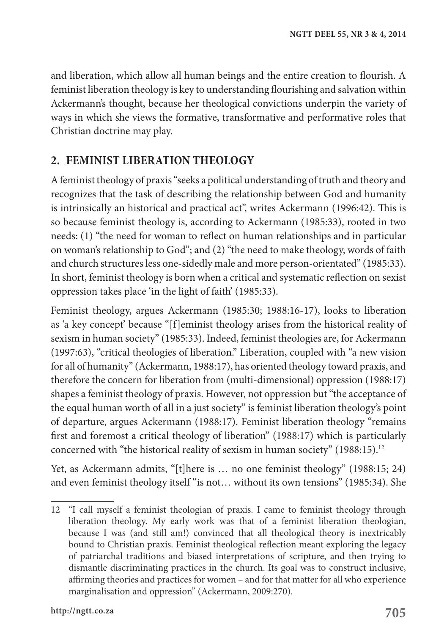and liberation, which allow all human beings and the entire creation to flourish. A feminist liberation theology is key to understanding flourishing and salvation within Ackermann's thought, because her theological convictions underpin the variety of ways in which she views the formative, transformative and performative roles that Christian doctrine may play.

## **2. FEMINIST LIBERATION THEOLOGY**

A feminist theology of praxis "seeks a political understanding of truth and theory and recognizes that the task of describing the relationship between God and humanity is intrinsically an historical and practical act", writes Ackermann (1996:42). This is so because feminist theology is, according to Ackermann (1985:33), rooted in two needs: (1) "the need for woman to reflect on human relationships and in particular on woman's relationship to God"; and (2) "the need to make theology, words of faith and church structures less one-sidedly male and more person-orientated" (1985:33). In short, feminist theology is born when a critical and systematic reflection on sexist oppression takes place 'in the light of faith' (1985:33).

Feminist theology, argues Ackermann (1985:30; 1988:16-17), looks to liberation as 'a key concept' because "[f]eminist theology arises from the historical reality of sexism in human society" (1985:33). Indeed, feminist theologies are, for Ackermann (1997:63), "critical theologies of liberation." Liberation, coupled with "a new vision for all of humanity" (Ackermann, 1988:17), has oriented theology toward praxis, and therefore the concern for liberation from (multi-dimensional) oppression (1988:17) shapes a feminist theology of praxis. However, not oppression but "the acceptance of the equal human worth of all in a just society" is feminist liberation theology's point of departure, argues Ackermann (1988:17). Feminist liberation theology "remains first and foremost a critical theology of liberation" (1988:17) which is particularly concerned with "the historical reality of sexism in human society" (1988:15).12

Yet, as Ackermann admits, "[t]here is … no one feminist theology" (1988:15; 24) and even feminist theology itself "is not… without its own tensions" (1985:34). She

<sup>12</sup> "I call myself a feminist theologian of praxis. I came to feminist theology through liberation theology. My early work was that of a feminist liberation theologian, because I was (and still am!) convinced that all theological theory is inextricably bound to Christian praxis. Feminist theological reflection meant exploring the legacy of patriarchal traditions and biased interpretations of scripture, and then trying to dismantle discriminating practices in the church. Its goal was to construct inclusive, affirming theories and practices for women – and for that matter for all who experience marginalisation and oppression" (Ackermann, 2009:270).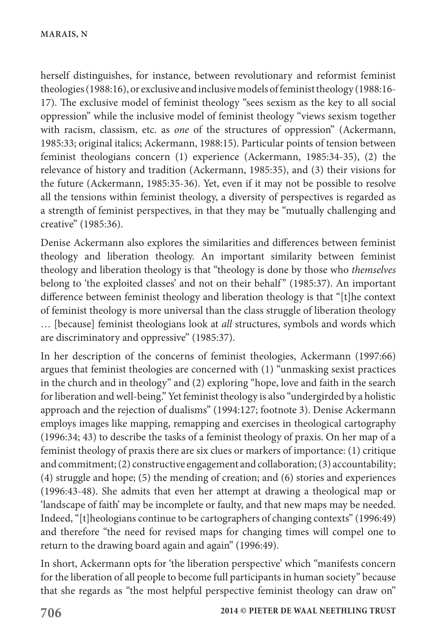herself distinguishes, for instance, between revolutionary and reformist feminist theologies (1988:16), or exclusive and inclusive models of feminist theology (1988:16- 17). The exclusive model of feminist theology "sees sexism as the key to all social oppression" while the inclusive model of feminist theology "views sexism together with racism, classism, etc. as *one* of the structures of oppression" (Ackermann, 1985:33; original italics; Ackermann, 1988:15). Particular points of tension between feminist theologians concern (1) experience (Ackermann, 1985:34-35), (2) the relevance of history and tradition (Ackermann, 1985:35), and (3) their visions for the future (Ackermann, 1985:35-36). Yet, even if it may not be possible to resolve all the tensions within feminist theology, a diversity of perspectives is regarded as a strength of feminist perspectives, in that they may be "mutually challenging and creative" (1985:36).

Denise Ackermann also explores the similarities and differences between feminist theology and liberation theology. An important similarity between feminist theology and liberation theology is that "theology is done by those who *themselves* belong to 'the exploited classes' and not on their behalf" (1985:37). An important difference between feminist theology and liberation theology is that "[t]he context of feminist theology is more universal than the class struggle of liberation theology … [because] feminist theologians look at *all* structures, symbols and words which are discriminatory and oppressive" (1985:37).

In her description of the concerns of feminist theologies, Ackermann (1997:66) argues that feminist theologies are concerned with (1) "unmasking sexist practices in the church and in theology" and (2) exploring "hope, love and faith in the search for liberation and well-being." Yet feminist theology is also "undergirded by a holistic approach and the rejection of dualisms" (1994:127; footnote 3). Denise Ackermann employs images like mapping, remapping and exercises in theological cartography (1996:34; 43) to describe the tasks of a feminist theology of praxis. On her map of a feminist theology of praxis there are six clues or markers of importance: (1) critique and commitment; (2) constructive engagement and collaboration; (3) accountability; (4) struggle and hope; (5) the mending of creation; and (6) stories and experiences (1996:43-48). She admits that even her attempt at drawing a theological map or 'landscape of faith' may be incomplete or faulty, and that new maps may be needed. Indeed, "[t]heologians continue to be cartographers of changing contexts" (1996:49) and therefore "the need for revised maps for changing times will compel one to return to the drawing board again and again" (1996:49).

In short, Ackermann opts for 'the liberation perspective' which "manifests concern for the liberation of all people to become full participants in human society" because that she regards as "the most helpful perspective feminist theology can draw on"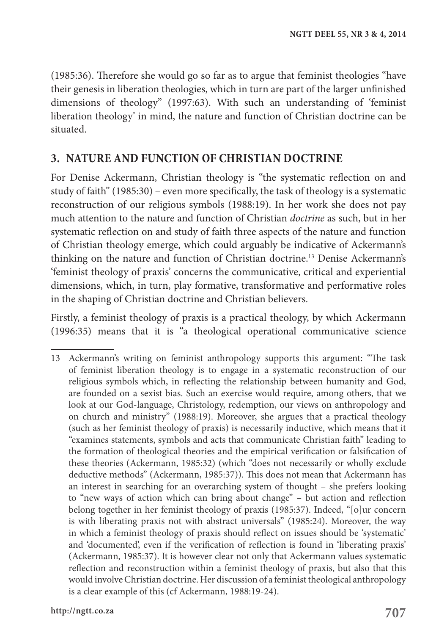(1985:36). Therefore she would go so far as to argue that feminist theologies "have their genesis in liberation theologies, which in turn are part of the larger unfinished dimensions of theology" (1997:63). With such an understanding of 'feminist liberation theology' in mind, the nature and function of Christian doctrine can be situated.

## **3. NATURE AND FUNCTION OF CHRISTIAN DOCTRINE**

For Denise Ackermann, Christian theology is "the systematic reflection on and study of faith" (1985:30) – even more specifically, the task of theology is a systematic reconstruction of our religious symbols (1988:19). In her work she does not pay much attention to the nature and function of Christian *doctrine* as such, but in her systematic reflection on and study of faith three aspects of the nature and function of Christian theology emerge, which could arguably be indicative of Ackermann's thinking on the nature and function of Christian doctrine.<sup>13</sup> Denise Ackermann's 'feminist theology of praxis' concerns the communicative, critical and experiential dimensions, which, in turn, play formative, transformative and performative roles in the shaping of Christian doctrine and Christian believers.

Firstly, a feminist theology of praxis is a practical theology, by which Ackermann (1996:35) means that it is "a theological operational communicative science

<sup>13</sup> Ackermann's writing on feminist anthropology supports this argument: "The task of feminist liberation theology is to engage in a systematic reconstruction of our religious symbols which, in reflecting the relationship between humanity and God, are founded on a sexist bias. Such an exercise would require, among others, that we look at our God-language, Christology, redemption, our views on anthropology and on church and ministry" (1988:19). Moreover, she argues that a practical theology (such as her feminist theology of praxis) is necessarily inductive, which means that it "examines statements, symbols and acts that communicate Christian faith" leading to the formation of theological theories and the empirical verification or falsification of these theories (Ackermann, 1985:32) (which "does not necessarily or wholly exclude deductive methods" (Ackermann, 1985:37)). This does not mean that Ackermann has an interest in searching for an overarching system of thought – she prefers looking to "new ways of action which can bring about change" – but action and reflection belong together in her feminist theology of praxis (1985:37). Indeed, "[o]ur concern is with liberating praxis not with abstract universals" (1985:24). Moreover, the way in which a feminist theology of praxis should reflect on issues should be 'systematic' and 'documented', even if the verification of reflection is found in 'liberating praxis' (Ackermann, 1985:37). It is however clear not only that Ackermann values systematic reflection and reconstruction within a feminist theology of praxis, but also that this would involve Christian doctrine. Her discussion of a feminist theological anthropology is a clear example of this (cf Ackermann, 1988:19-24).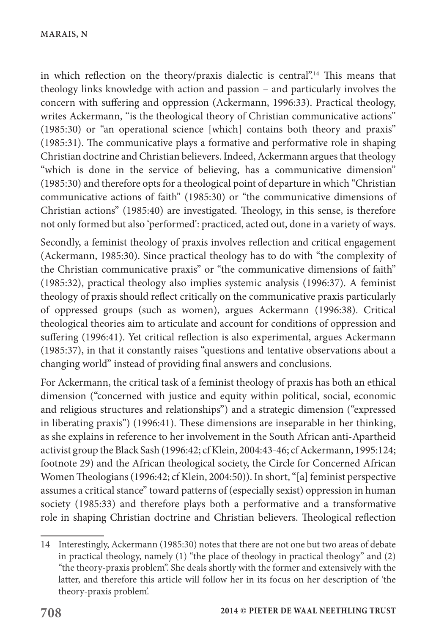in which reflection on the theory/praxis dialectic is central".14 This means that theology links knowledge with action and passion – and particularly involves the concern with suffering and oppression (Ackermann, 1996:33). Practical theology, writes Ackermann, "is the theological theory of Christian communicative actions" (1985:30) or "an operational science [which] contains both theory and praxis" (1985:31). The communicative plays a formative and performative role in shaping Christian doctrine and Christian believers. Indeed, Ackermann argues that theology "which is done in the service of believing, has a communicative dimension" (1985:30) and therefore opts for a theological point of departure in which "Christian communicative actions of faith" (1985:30) or "the communicative dimensions of Christian actions" (1985:40) are investigated. Theology, in this sense, is therefore not only formed but also 'performed': practiced, acted out, done in a variety of ways.

Secondly, a feminist theology of praxis involves reflection and critical engagement (Ackermann, 1985:30). Since practical theology has to do with "the complexity of the Christian communicative praxis" or "the communicative dimensions of faith" (1985:32), practical theology also implies systemic analysis (1996:37). A feminist theology of praxis should reflect critically on the communicative praxis particularly of oppressed groups (such as women), argues Ackermann (1996:38). Critical theological theories aim to articulate and account for conditions of oppression and suffering (1996:41). Yet critical reflection is also experimental, argues Ackermann (1985:37), in that it constantly raises "questions and tentative observations about a changing world" instead of providing final answers and conclusions.

For Ackermann, the critical task of a feminist theology of praxis has both an ethical dimension ("concerned with justice and equity within political, social, economic and religious structures and relationships") and a strategic dimension ("expressed in liberating praxis") (1996:41). These dimensions are inseparable in her thinking, as she explains in reference to her involvement in the South African anti-Apartheid activist group the Black Sash (1996:42; cf Klein, 2004:43-46; cf Ackermann, 1995:124; footnote 29) and the African theological society, the Circle for Concerned African Women Theologians (1996:42; cf Klein, 2004:50)). In short, "[a] feminist perspective assumes a critical stance" toward patterns of (especially sexist) oppression in human society (1985:33) and therefore plays both a performative and a transformative role in shaping Christian doctrine and Christian believers. Theological reflection

<sup>14</sup> Interestingly, Ackermann (1985:30) notes that there are not one but two areas of debate in practical theology, namely (1) "the place of theology in practical theology" and (2) "the theory-praxis problem". She deals shortly with the former and extensively with the latter, and therefore this article will follow her in its focus on her description of 'the theory-praxis problem'.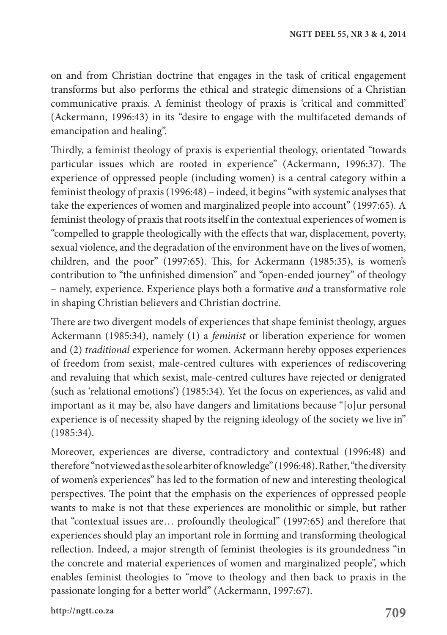on and from Christian doctrine that engages in the task of critical engagement transforms but also performs the ethical and strategic dimensions of a Christian communicative praxis. A feminist theology of praxis is 'critical and committed' (Ackermann, 1996:43) in its "desire to engage with the multifaceted demands of emancipation and healing".

Thirdly, a feminist theology of praxis is experiential theology, orientated "towards particular issues which are rooted in experience" (Ackermann, 1996:37). The experience of oppressed people (including women) is a central category within a feminist theology of praxis (1996:48) – indeed, it begins "with systemic analyses that take the experiences of women and marginalized people into account" (1997:65). A feminist theology of praxis that roots itself in the contextual experiences of women is "compelled to grapple theologically with the effects that war, displacement, poverty, sexual violence, and the degradation of the environment have on the lives of women, children, and the poor" (1997:65). This, for Ackermann (1985:35), is women's contribution to "the unfinished dimension" and "open-ended journey" of theology – namely, experience. Experience plays both a formative *and* a transformative role in shaping Christian believers and Christian doctrine.

There are two divergent models of experiences that shape feminist theology, argues Ackermann (1985:34), namely (1) a *feminist* or liberation experience for women and (2) *traditional* experience for women. Ackermann hereby opposes experiences of freedom from sexist, male-centred cultures with experiences of rediscovering and revaluing that which sexist, male-centred cultures have rejected or denigrated (such as 'relational emotions') (1985:34). Yet the focus on experiences, as valid and important as it may be, also have dangers and limitations because "[o]ur personal experience is of necessity shaped by the reigning ideology of the society we live in" (1985:34).

Moreover, experiences are diverse, contradictory and contextual (1996:48) and therefore "not viewed as the sole arbiter of knowledge" (1996:48). Rather, "the diversity of women's experiences" has led to the formation of new and interesting theological perspectives. The point that the emphasis on the experiences of oppressed people wants to make is not that these experiences are monolithic or simple, but rather that "contextual issues are… profoundly theological" (1997:65) and therefore that experiences should play an important role in forming and transforming theological reflection. Indeed, a major strength of feminist theologies is its groundedness "in the concrete and material experiences of women and marginalized people", which enables feminist theologies to "move to theology and then back to praxis in the passionate longing for a better world" (Ackermann, 1997:67).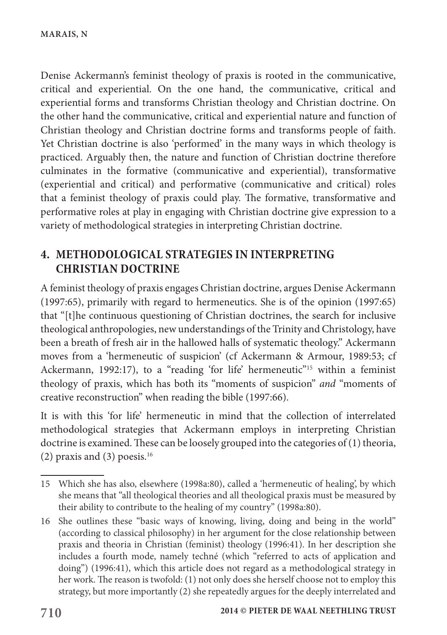Denise Ackermann's feminist theology of praxis is rooted in the communicative, critical and experiential. On the one hand, the communicative, critical and experiential forms and transforms Christian theology and Christian doctrine. On the other hand the communicative, critical and experiential nature and function of Christian theology and Christian doctrine forms and transforms people of faith. Yet Christian doctrine is also 'performed' in the many ways in which theology is practiced. Arguably then, the nature and function of Christian doctrine therefore culminates in the formative (communicative and experiential), transformative (experiential and critical) and performative (communicative and critical) roles that a feminist theology of praxis could play. The formative, transformative and performative roles at play in engaging with Christian doctrine give expression to a variety of methodological strategies in interpreting Christian doctrine.

# **4. METHODOLOGICAL STRATEGIES IN INTERPRETING CHRISTIAN DOCTRINE**

A feminist theology of praxis engages Christian doctrine, argues Denise Ackermann (1997:65), primarily with regard to hermeneutics. She is of the opinion (1997:65) that "[t]he continuous questioning of Christian doctrines, the search for inclusive theological anthropologies, new understandings of the Trinity and Christology, have been a breath of fresh air in the hallowed halls of systematic theology." Ackermann moves from a 'hermeneutic of suspicion' (cf Ackermann & Armour, 1989:53; cf Ackermann, 1992:17), to a "reading 'for life' hermeneutic"<sup>15</sup> within a feminist theology of praxis, which has both its "moments of suspicion" *and* "moments of creative reconstruction" when reading the bible (1997:66).

It is with this 'for life' hermeneutic in mind that the collection of interrelated methodological strategies that Ackermann employs in interpreting Christian doctrine is examined. These can be loosely grouped into the categories of (1) theoria, (2) praxis and (3) poesis. $16$ 

<sup>15</sup> Which she has also, elsewhere (1998a:80), called a 'hermeneutic of healing', by which she means that "all theological theories and all theological praxis must be measured by their ability to contribute to the healing of my country" (1998a:80).

<sup>16</sup> She outlines these "basic ways of knowing, living, doing and being in the world" (according to classical philosophy) in her argument for the close relationship between praxis and theoria in Christian (feminist) theology (1996:41). In her description she includes a fourth mode, namely techné (which "referred to acts of application and doing") (1996:41), which this article does not regard as a methodological strategy in her work. The reason is twofold: (1) not only does she herself choose not to employ this strategy, but more importantly (2) she repeatedly argues for the deeply interrelated and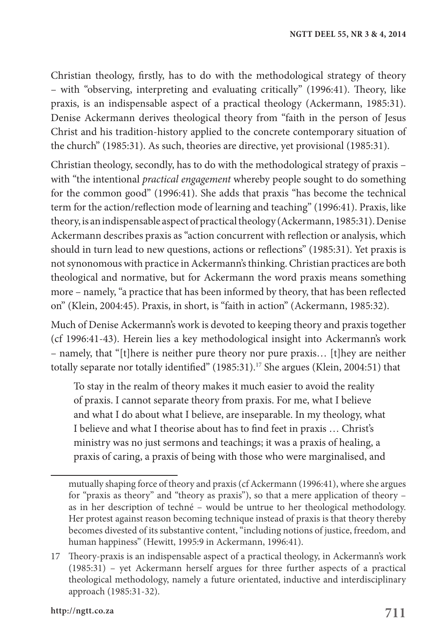Christian theology, firstly, has to do with the methodological strategy of theory – with "observing, interpreting and evaluating critically" (1996:41). Theory, like praxis, is an indispensable aspect of a practical theology (Ackermann, 1985:31). Denise Ackermann derives theological theory from "faith in the person of Jesus Christ and his tradition-history applied to the concrete contemporary situation of the church" (1985:31). As such, theories are directive, yet provisional (1985:31).

Christian theology, secondly, has to do with the methodological strategy of praxis – with "the intentional *practical engagement* whereby people sought to do something for the common good" (1996:41). She adds that praxis "has become the technical term for the action/reflection mode of learning and teaching" (1996:41). Praxis, like theory, is an indispensable aspect of practical theology (Ackermann, 1985:31). Denise Ackermann describes praxis as "action concurrent with reflection or analysis, which should in turn lead to new questions, actions or reflections" (1985:31). Yet praxis is not synonomous with practice in Ackermann's thinking. Christian practices are both theological and normative, but for Ackermann the word praxis means something more – namely, "a practice that has been informed by theory, that has been reflected on" (Klein, 2004:45). Praxis, in short, is "faith in action" (Ackermann, 1985:32).

Much of Denise Ackermann's work is devoted to keeping theory and praxis together (cf 1996:41-43). Herein lies a key methodological insight into Ackermann's work – namely, that "[t]here is neither pure theory nor pure praxis… [t]hey are neither totally separate nor totally identified" (1985:31).<sup>17</sup> She argues (Klein, 2004:51) that

To stay in the realm of theory makes it much easier to avoid the reality of praxis. I cannot separate theory from praxis. For me, what I believe and what I do about what I believe, are inseparable. In my theology, what I believe and what I theorise about has to find feet in praxis … Christ's ministry was no just sermons and teachings; it was a praxis of healing, a praxis of caring, a praxis of being with those who were marginalised, and

mutually shaping force of theory and praxis (cf Ackermann (1996:41), where she argues for "praxis as theory" and "theory as praxis"), so that a mere application of theory – as in her description of techné – would be untrue to her theological methodology. Her protest against reason becoming technique instead of praxis is that theory thereby becomes divested of its substantive content, "including notions of justice, freedom, and human happiness" (Hewitt, 1995:9 in Ackermann, 1996:41).

<sup>17</sup> Theory-praxis is an indispensable aspect of a practical theology, in Ackermann's work (1985:31) – yet Ackermann herself argues for three further aspects of a practical theological methodology, namely a future orientated, inductive and interdisciplinary approach (1985:31-32).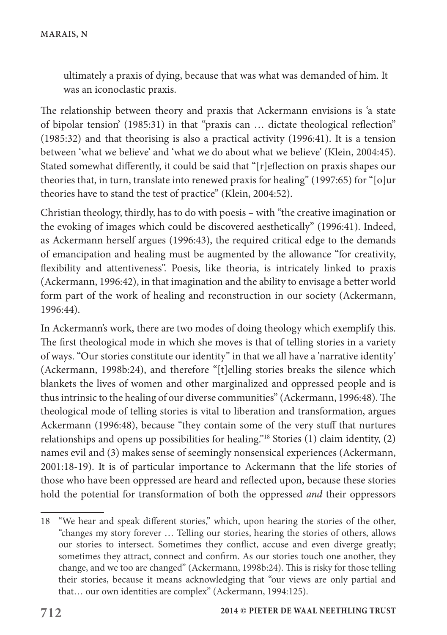ultimately a praxis of dying, because that was what was demanded of him. It was an iconoclastic praxis.

The relationship between theory and praxis that Ackermann envisions is 'a state of bipolar tension' (1985:31) in that "praxis can … dictate theological reflection" (1985:32) and that theorising is also a practical activity (1996:41). It is a tension between 'what we believe' and 'what we do about what we believe' (Klein, 2004:45). Stated somewhat differently, it could be said that "[r]eflection on praxis shapes our theories that, in turn, translate into renewed praxis for healing" (1997:65) for "[o]ur theories have to stand the test of practice" (Klein, 2004:52).

Christian theology, thirdly, has to do with poesis – with "the creative imagination or the evoking of images which could be discovered aesthetically" (1996:41). Indeed, as Ackermann herself argues (1996:43), the required critical edge to the demands of emancipation and healing must be augmented by the allowance "for creativity, flexibility and attentiveness". Poesis, like theoria, is intricately linked to praxis (Ackermann, 1996:42), in that imagination and the ability to envisage a better world form part of the work of healing and reconstruction in our society (Ackermann, 1996:44).

In Ackermann's work, there are two modes of doing theology which exemplify this. The first theological mode in which she moves is that of telling stories in a variety of ways. "Our stories constitute our identity" in that we all have a 'narrative identity' (Ackermann, 1998b:24), and therefore "[t]elling stories breaks the silence which blankets the lives of women and other marginalized and oppressed people and is thus intrinsic to the healing of our diverse communities" (Ackermann, 1996:48). The theological mode of telling stories is vital to liberation and transformation, argues Ackermann (1996:48), because "they contain some of the very stuff that nurtures relationships and opens up possibilities for healing."18 Stories (1) claim identity, (2) names evil and (3) makes sense of seemingly nonsensical experiences (Ackermann, 2001:18-19). It is of particular importance to Ackermann that the life stories of those who have been oppressed are heard and reflected upon, because these stories hold the potential for transformation of both the oppressed *and* their oppressors

<sup>18</sup> "We hear and speak different stories," which, upon hearing the stories of the other, "changes my story forever … Telling our stories, hearing the stories of others, allows our stories to intersect. Sometimes they conflict, accuse and even diverge greatly; sometimes they attract, connect and confirm. As our stories touch one another, they change, and we too are changed" (Ackermann, 1998b:24). This is risky for those telling their stories, because it means acknowledging that "our views are only partial and that… our own identities are complex" (Ackermann, 1994:125).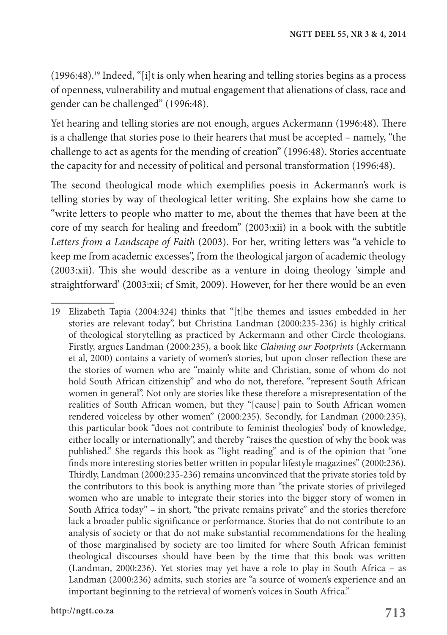(1996:48).19 Indeed, "[i]t is only when hearing and telling stories begins as a process of openness, vulnerability and mutual engagement that alienations of class, race and gender can be challenged" (1996:48).

Yet hearing and telling stories are not enough, argues Ackermann (1996:48). There is a challenge that stories pose to their hearers that must be accepted – namely, "the challenge to act as agents for the mending of creation" (1996:48). Stories accentuate the capacity for and necessity of political and personal transformation (1996:48).

The second theological mode which exemplifies poesis in Ackermann's work is telling stories by way of theological letter writing. She explains how she came to "write letters to people who matter to me, about the themes that have been at the core of my search for healing and freedom" (2003:xii) in a book with the subtitle *Letters from a Landscape of Faith* (2003). For her, writing letters was "a vehicle to keep me from academic excesses", from the theological jargon of academic theology (2003:xii). This she would describe as a venture in doing theology 'simple and straightforward' (2003:xii; cf Smit, 2009). However, for her there would be an even

<sup>19</sup> Elizabeth Tapia (2004:324) thinks that "[t]he themes and issues embedded in her stories are relevant today", but Christina Landman (2000:235-236) is highly critical of theological storytelling as practiced by Ackermann and other Circle theologians. Firstly, argues Landman (2000:235), a book like *Claiming our Footprints* (Ackermann et al, 2000) contains a variety of women's stories, but upon closer reflection these are the stories of women who are "mainly white and Christian, some of whom do not hold South African citizenship" and who do not, therefore, "represent South African women in general". Not only are stories like these therefore a misrepresentation of the realities of South African women, but they "[cause] pain to South African women rendered voiceless by other women" (2000:235). Secondly, for Landman (2000:235), this particular book "does not contribute to feminist theologies' body of knowledge, either locally or internationally", and thereby "raises the question of why the book was published." She regards this book as "light reading" and is of the opinion that "one finds more interesting stories better written in popular lifestyle magazines" (2000:236). Thirdly, Landman (2000:235-236) remains unconvinced that the private stories told by the contributors to this book is anything more than "the private stories of privileged women who are unable to integrate their stories into the bigger story of women in South Africa today" – in short, "the private remains private" and the stories therefore lack a broader public significance or performance. Stories that do not contribute to an analysis of society or that do not make substantial recommendations for the healing of those marginalised by society are too limited for where South African feminist theological discourses should have been by the time that this book was written (Landman, 2000:236). Yet stories may yet have a role to play in South Africa – as Landman (2000:236) admits, such stories are "a source of women's experience and an important beginning to the retrieval of women's voices in South Africa."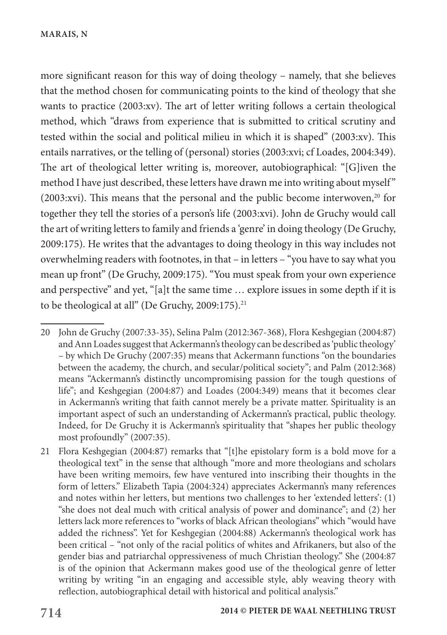more significant reason for this way of doing theology – namely, that she believes that the method chosen for communicating points to the kind of theology that she wants to practice (2003:xv). The art of letter writing follows a certain theological method, which "draws from experience that is submitted to critical scrutiny and tested within the social and political milieu in which it is shaped" (2003:xv). This entails narratives, or the telling of (personal) stories (2003:xvi; cf Loades, 2004:349). The art of theological letter writing is, moreover, autobiographical: "[G]iven the method I have just described, these letters have drawn me into writing about myself" (2003:xvi). This means that the personal and the public become interwoven, $20$  for together they tell the stories of a person's life (2003:xvi). John de Gruchy would call the art of writing letters to family and friends a 'genre' in doing theology (De Gruchy, 2009:175). He writes that the advantages to doing theology in this way includes not overwhelming readers with footnotes, in that – in letters – "you have to say what you mean up front" (De Gruchy, 2009:175). "You must speak from your own experience and perspective" and yet, "[a]t the same time … explore issues in some depth if it is to be theological at all" (De Gruchy, 2009:175).<sup>21</sup>

<sup>20</sup> John de Gruchy (2007:33-35), Selina Palm (2012:367-368), Flora Keshgegian (2004:87) and Ann Loades suggest that Ackermann's theology can be described as 'public theology' – by which De Gruchy (2007:35) means that Ackermann functions "on the boundaries between the academy, the church, and secular/political society"; and Palm (2012:368) means "Ackermann's distinctly uncompromising passion for the tough questions of life"; and Keshgegian (2004:87) and Loades (2004:349) means that it becomes clear in Ackermann's writing that faith cannot merely be a private matter. Spirituality is an important aspect of such an understanding of Ackermann's practical, public theology. Indeed, for De Gruchy it is Ackermann's spirituality that "shapes her public theology most profoundly" (2007:35).

<sup>21</sup> Flora Keshgegian (2004:87) remarks that "[t]he epistolary form is a bold move for a theological text" in the sense that although "more and more theologians and scholars have been writing memoirs, few have ventured into inscribing their thoughts in the form of letters." Elizabeth Tapia (2004:324) appreciates Ackermann's many references and notes within her letters, but mentions two challenges to her 'extended letters': (1) "she does not deal much with critical analysis of power and dominance"; and (2) her letters lack more references to "works of black African theologians" which "would have added the richness". Yet for Keshgegian (2004:88) Ackermann's theological work has been critical – "not only of the racial politics of whites and Afrikaners, but also of the gender bias and patriarchal oppressiveness of much Christian theology." She (2004:87 is of the opinion that Ackermann makes good use of the theological genre of letter writing by writing "in an engaging and accessible style, ably weaving theory with reflection, autobiographical detail with historical and political analysis."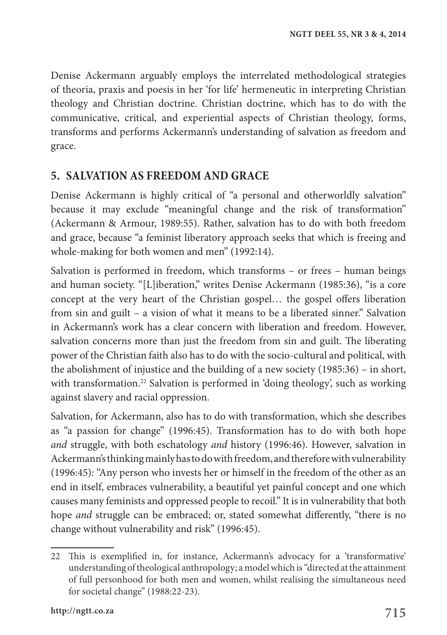Denise Ackermann arguably employs the interrelated methodological strategies of theoria, praxis and poesis in her 'for life' hermeneutic in interpreting Christian theology and Christian doctrine. Christian doctrine, which has to do with the communicative, critical, and experiential aspects of Christian theology, forms, transforms and performs Ackermann's understanding of salvation as freedom and grace.

# **5. SALVATION AS FREEDOM AND GRACE**

Denise Ackermann is highly critical of "a personal and otherworldly salvation" because it may exclude "meaningful change and the risk of transformation" (Ackermann & Armour, 1989:55). Rather, salvation has to do with both freedom and grace, because "a feminist liberatory approach seeks that which is freeing and whole-making for both women and men" (1992:14).

Salvation is performed in freedom, which transforms – or frees – human beings and human society. "[L]iberation," writes Denise Ackermann (1985:36), "is a core concept at the very heart of the Christian gospel… the gospel offers liberation from sin and guilt – a vision of what it means to be a liberated sinner." Salvation in Ackermann's work has a clear concern with liberation and freedom. However, salvation concerns more than just the freedom from sin and guilt. The liberating power of the Christian faith also has to do with the socio-cultural and political, with the abolishment of injustice and the building of a new society (1985:36) – in short, with transformation.<sup>22</sup> Salvation is performed in 'doing theology', such as working against slavery and racial oppression.

Salvation, for Ackermann, also has to do with transformation, which she describes as "a passion for change" (1996:45). Transformation has to do with both hope *and* struggle, with both eschatology *and* history (1996:46). However, salvation in Ackermann's thinking mainly has to do with freedom, and therefore with vulnerability (1996:45): "Any person who invests her or himself in the freedom of the other as an end in itself, embraces vulnerability, a beautiful yet painful concept and one which causes many feminists and oppressed people to recoil." It is in vulnerability that both hope *and* struggle can be embraced; or, stated somewhat differently, "there is no change without vulnerability and risk" (1996:45).

<sup>22</sup> This is exemplified in, for instance, Ackermann's advocacy for a 'transformative' understanding of theological anthropology; a model which is "directed at the attainment of full personhood for both men and women, whilst realising the simultaneous need for societal change" (1988:22-23).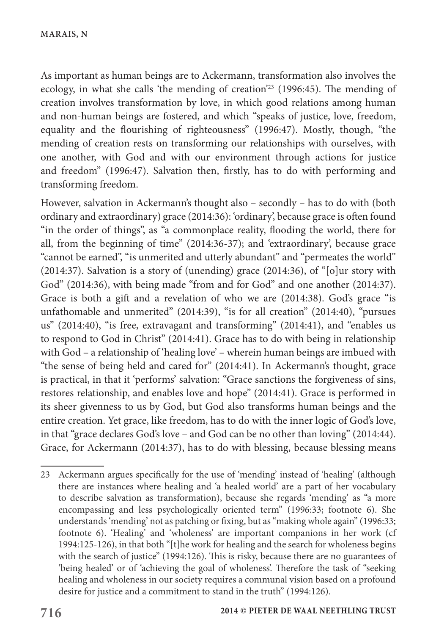As important as human beings are to Ackermann, transformation also involves the ecology, in what she calls 'the mending of creation'23 (1996:45). The mending of creation involves transformation by love, in which good relations among human and non-human beings are fostered, and which "speaks of justice, love, freedom, equality and the flourishing of righteousness" (1996:47). Mostly, though, "the mending of creation rests on transforming our relationships with ourselves, with one another, with God and with our environment through actions for justice and freedom" (1996:47). Salvation then, firstly, has to do with performing and transforming freedom.

However, salvation in Ackermann's thought also – secondly – has to do with (both ordinary and extraordinary) grace (2014:36): 'ordinary', because grace is often found "in the order of things", as "a commonplace reality, flooding the world, there for all, from the beginning of time" (2014:36-37); and 'extraordinary', because grace "cannot be earned", "is unmerited and utterly abundant" and "permeates the world" (2014:37). Salvation is a story of (unending) grace (2014:36), of "[o]ur story with God" (2014:36), with being made "from and for God" and one another (2014:37). Grace is both a gift and a revelation of who we are (2014:38). God's grace "is unfathomable and unmerited" (2014:39), "is for all creation" (2014:40), "pursues us" (2014:40), "is free, extravagant and transforming" (2014:41), and "enables us to respond to God in Christ" (2014:41). Grace has to do with being in relationship with God – a relationship of 'healing love' – wherein human beings are imbued with "the sense of being held and cared for" (2014:41). In Ackermann's thought, grace is practical, in that it 'performs' salvation: "Grace sanctions the forgiveness of sins, restores relationship, and enables love and hope" (2014:41). Grace is performed in its sheer givenness to us by God, but God also transforms human beings and the entire creation. Yet grace, like freedom, has to do with the inner logic of God's love, in that "grace declares God's love – and God can be no other than loving" (2014:44). Grace, for Ackermann (2014:37), has to do with blessing, because blessing means

<sup>23</sup> Ackermann argues specifically for the use of 'mending' instead of 'healing' (although there are instances where healing and 'a healed world' are a part of her vocabulary to describe salvation as transformation), because she regards 'mending' as "a more encompassing and less psychologically oriented term" (1996:33; footnote 6). She understands 'mending' not as patching or fixing, but as "making whole again" (1996:33; footnote 6). 'Healing' and 'wholeness' are important companions in her work (cf 1994:125-126), in that both "[t]he work for healing and the search for wholeness begins with the search of justice" (1994:126). This is risky, because there are no guarantees of 'being healed' or of 'achieving the goal of wholeness'. Therefore the task of "seeking healing and wholeness in our society requires a communal vision based on a profound desire for justice and a commitment to stand in the truth" (1994:126).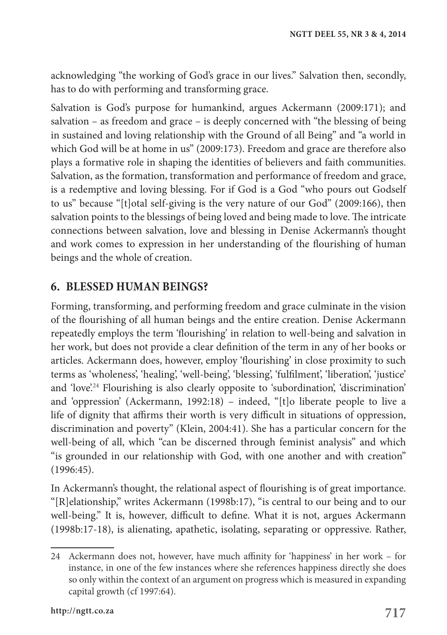acknowledging "the working of God's grace in our lives." Salvation then, secondly, has to do with performing and transforming grace.

Salvation is God's purpose for humankind, argues Ackermann (2009:171); and salvation – as freedom and grace – is deeply concerned with "the blessing of being in sustained and loving relationship with the Ground of all Being" and "a world in which God will be at home in us" (2009:173). Freedom and grace are therefore also plays a formative role in shaping the identities of believers and faith communities. Salvation, as the formation, transformation and performance of freedom and grace, is a redemptive and loving blessing. For if God is a God "who pours out Godself to us" because "[t]otal self-giving is the very nature of our God" (2009:166), then salvation points to the blessings of being loved and being made to love. The intricate connections between salvation, love and blessing in Denise Ackermann's thought and work comes to expression in her understanding of the flourishing of human beings and the whole of creation.

# **6. BLESSED HUMAN BEINGS?**

Forming, transforming, and performing freedom and grace culminate in the vision of the flourishing of all human beings and the entire creation. Denise Ackermann repeatedly employs the term 'flourishing' in relation to well-being and salvation in her work, but does not provide a clear definition of the term in any of her books or articles. Ackermann does, however, employ 'flourishing' in close proximity to such terms as 'wholeness', 'healing', 'well-being', 'blessing', 'fulfilment', 'liberation', 'justice' and 'love'.<sup>24</sup> Flourishing is also clearly opposite to 'subordination', 'discrimination' and 'oppression' (Ackermann, 1992:18) – indeed, "[t]o liberate people to live a life of dignity that affirms their worth is very difficult in situations of oppression, discrimination and poverty" (Klein, 2004:41). She has a particular concern for the well-being of all, which "can be discerned through feminist analysis" and which "is grounded in our relationship with God, with one another and with creation" (1996:45).

In Ackermann's thought, the relational aspect of flourishing is of great importance. "[R]elationship," writes Ackermann (1998b:17), "is central to our being and to our well-being." It is, however, difficult to define. What it is not, argues Ackermann (1998b:17-18), is alienating, apathetic, isolating, separating or oppressive. Rather,

<sup>24</sup> Ackermann does not, however, have much affinity for 'happiness' in her work – for instance, in one of the few instances where she references happiness directly she does so only within the context of an argument on progress which is measured in expanding capital growth (cf 1997:64).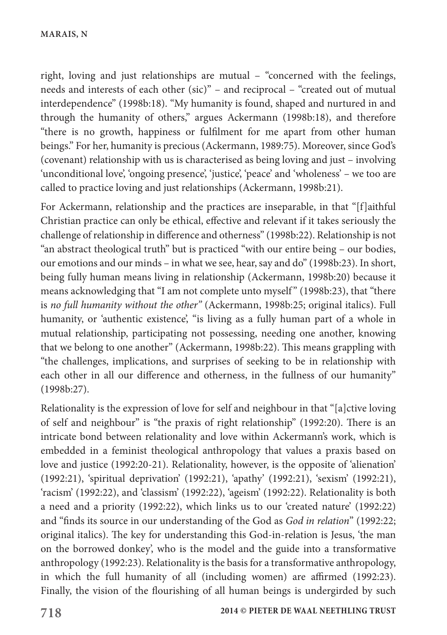right, loving and just relationships are mutual – "concerned with the feelings, needs and interests of each other (sic)" – and reciprocal – "created out of mutual interdependence" (1998b:18). "My humanity is found, shaped and nurtured in and through the humanity of others," argues Ackermann (1998b:18), and therefore "there is no growth, happiness or fulfilment for me apart from other human beings." For her, humanity is precious (Ackermann, 1989:75). Moreover, since God's (covenant) relationship with us is characterised as being loving and just – involving 'unconditional love', 'ongoing presence', 'justice', 'peace' and 'wholeness' – we too are called to practice loving and just relationships (Ackermann, 1998b:21).

For Ackermann, relationship and the practices are inseparable, in that "[f]aithful Christian practice can only be ethical, effective and relevant if it takes seriously the challenge of relationship in difference and otherness" (1998b:22). Relationship is not "an abstract theological truth" but is practiced "with our entire being – our bodies, our emotions and our minds – in what we see, hear, say and do" (1998b:23). In short, being fully human means living in relationship (Ackermann, 1998b:20) because it means acknowledging that "I am not complete unto myself" (1998b:23), that "there is *no full humanity without the other"* (Ackermann, 1998b:25; original italics). Full humanity, or 'authentic existence', "is living as a fully human part of a whole in mutual relationship, participating not possessing, needing one another, knowing that we belong to one another" (Ackermann, 1998b:22). This means grappling with "the challenges, implications, and surprises of seeking to be in relationship with each other in all our difference and otherness, in the fullness of our humanity" (1998b:27).

Relationality is the expression of love for self and neighbour in that "[a]ctive loving of self and neighbour" is "the praxis of right relationship" (1992:20). There is an intricate bond between relationality and love within Ackermann's work, which is embedded in a feminist theological anthropology that values a praxis based on love and justice (1992:20-21). Relationality, however, is the opposite of 'alienation' (1992:21), 'spiritual deprivation' (1992:21), 'apathy' (1992:21), 'sexism' (1992:21), 'racism' (1992:22), and 'classism' (1992:22), 'ageism' (1992:22). Relationality is both a need and a priority (1992:22), which links us to our 'created nature' (1992:22) and "finds its source in our understanding of the God as *God in relation*" (1992:22; original italics). The key for understanding this God-in-relation is Jesus, 'the man on the borrowed donkey', who is the model and the guide into a transformative anthropology (1992:23). Relationality is the basis for a transformative anthropology, in which the full humanity of all (including women) are affirmed (1992:23). Finally, the vision of the flourishing of all human beings is undergirded by such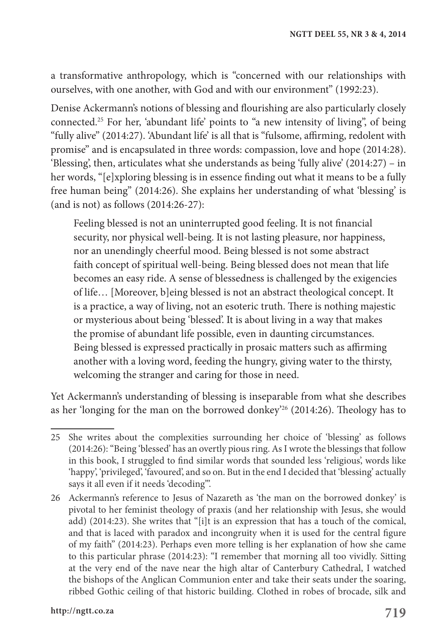a transformative anthropology, which is "concerned with our relationships with ourselves, with one another, with God and with our environment" (1992:23).

Denise Ackermann's notions of blessing and flourishing are also particularly closely connected.25 For her, 'abundant life' points to "a new intensity of living", of being "fully alive" (2014:27). 'Abundant life' is all that is "fulsome, affirming, redolent with promise" and is encapsulated in three words: compassion, love and hope (2014:28). 'Blessing', then, articulates what she understands as being 'fully alive' (2014:27) – in her words, "[e]xploring blessing is in essence finding out what it means to be a fully free human being" (2014:26). She explains her understanding of what 'blessing' is (and is not) as follows (2014:26-27):

Feeling blessed is not an uninterrupted good feeling. It is not financial security, nor physical well-being. It is not lasting pleasure, nor happiness, nor an unendingly cheerful mood. Being blessed is not some abstract faith concept of spiritual well-being. Being blessed does not mean that life becomes an easy ride. A sense of blessedness is challenged by the exigencies of life… [Moreover, b]eing blessed is not an abstract theological concept. It is a practice, a way of living, not an esoteric truth. There is nothing majestic or mysterious about being 'blessed'. It is about living in a way that makes the promise of abundant life possible, even in daunting circumstances. Being blessed is expressed practically in prosaic matters such as affirming another with a loving word, feeding the hungry, giving water to the thirsty, welcoming the stranger and caring for those in need.

Yet Ackermann's understanding of blessing is inseparable from what she describes as her 'longing for the man on the borrowed donkey'26 (2014:26). Theology has to

<sup>25</sup> She writes about the complexities surrounding her choice of 'blessing' as follows (2014:26): "Being 'blessed' has an overtly pious ring. As I wrote the blessings that follow in this book, I struggled to find similar words that sounded less 'religious', words like 'happy', 'privileged', 'favoured', and so on. But in the end I decided that 'blessing' actually says it all even if it needs 'decoding'".

<sup>26</sup> Ackermann's reference to Jesus of Nazareth as 'the man on the borrowed donkey' is pivotal to her feminist theology of praxis (and her relationship with Jesus, she would add) (2014:23). She writes that "[i]t is an expression that has a touch of the comical, and that is laced with paradox and incongruity when it is used for the central figure of my faith" (2014:23). Perhaps even more telling is her explanation of how she came to this particular phrase (2014:23): "I remember that morning all too vividly. Sitting at the very end of the nave near the high altar of Canterbury Cathedral, I watched the bishops of the Anglican Communion enter and take their seats under the soaring, ribbed Gothic ceiling of that historic building. Clothed in robes of brocade, silk and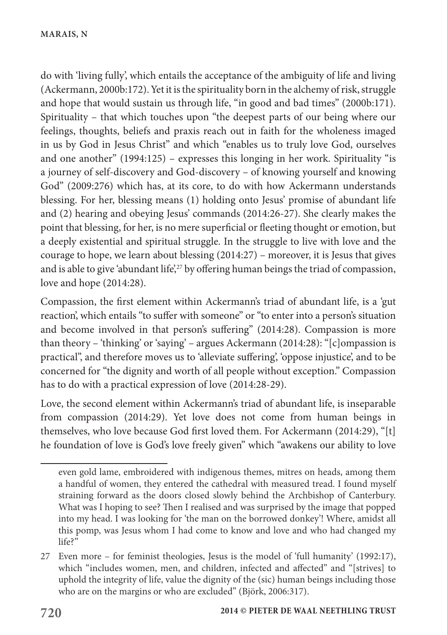do with 'living fully', which entails the acceptance of the ambiguity of life and living (Ackermann, 2000b:172). Yet it is the spirituality born in the alchemy of risk, struggle and hope that would sustain us through life, "in good and bad times" (2000b:171). Spirituality – that which touches upon "the deepest parts of our being where our feelings, thoughts, beliefs and praxis reach out in faith for the wholeness imaged in us by God in Jesus Christ" and which "enables us to truly love God, ourselves and one another" (1994:125) – expresses this longing in her work. Spirituality "is a journey of self-discovery and God-discovery – of knowing yourself and knowing God" (2009:276) which has, at its core, to do with how Ackermann understands blessing. For her, blessing means (1) holding onto Jesus' promise of abundant life and (2) hearing and obeying Jesus' commands (2014:26-27). She clearly makes the point that blessing, for her, is no mere superficial or fleeting thought or emotion, but a deeply existential and spiritual struggle. In the struggle to live with love and the courage to hope, we learn about blessing (2014:27) – moreover, it is Jesus that gives and is able to give 'abundant life',<sup>27</sup> by offering human beings the triad of compassion, love and hope (2014:28).

Compassion, the first element within Ackermann's triad of abundant life, is a 'gut reaction', which entails "to suffer with someone" or "to enter into a person's situation and become involved in that person's suffering" (2014:28). Compassion is more than theory – 'thinking' or 'saying' – argues Ackermann (2014:28): "[c]ompassion is practical", and therefore moves us to 'alleviate suffering', 'oppose injustice', and to be concerned for "the dignity and worth of all people without exception." Compassion has to do with a practical expression of love (2014:28-29).

Love, the second element within Ackermann's triad of abundant life, is inseparable from compassion (2014:29). Yet love does not come from human beings in themselves, who love because God first loved them. For Ackermann (2014:29), "[t] he foundation of love is God's love freely given" which "awakens our ability to love

even gold lame, embroidered with indigenous themes, mitres on heads, among them a handful of women, they entered the cathedral with measured tread. I found myself straining forward as the doors closed slowly behind the Archbishop of Canterbury. What was I hoping to see? Then I realised and was surprised by the image that popped into my head. I was looking for 'the man on the borrowed donkey'! Where, amidst all this pomp, was Jesus whom I had come to know and love and who had changed my life?"

<sup>27</sup> Even more – for feminist theologies, Jesus is the model of 'full humanity' (1992:17), which "includes women, men, and children, infected and affected" and "[strives] to uphold the integrity of life, value the dignity of the (sic) human beings including those who are on the margins or who are excluded" (Björk, 2006:317).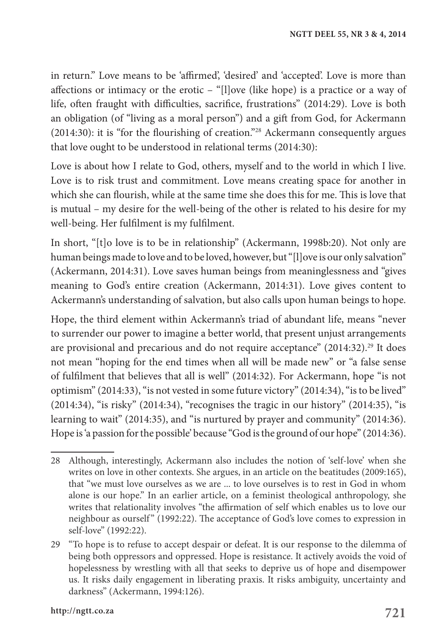in return." Love means to be 'affirmed', 'desired' and 'accepted'. Love is more than affections or intimacy or the erotic – "[l]ove (like hope) is a practice or a way of life, often fraught with difficulties, sacrifice, frustrations" (2014:29). Love is both an obligation (of "living as a moral person") and a gift from God, for Ackermann (2014:30): it is "for the flourishing of creation."28 Ackermann consequently argues that love ought to be understood in relational terms (2014:30):

Love is about how I relate to God, others, myself and to the world in which I live. Love is to risk trust and commitment. Love means creating space for another in which she can flourish, while at the same time she does this for me. This is love that is mutual – my desire for the well-being of the other is related to his desire for my well-being. Her fulfilment is my fulfilment.

In short, "[t]o love is to be in relationship" (Ackermann, 1998b:20). Not only are human beings made to love and to be loved, however, but "[l]ove is our only salvation" (Ackermann, 2014:31). Love saves human beings from meaninglessness and "gives meaning to God's entire creation (Ackermann, 2014:31). Love gives content to Ackermann's understanding of salvation, but also calls upon human beings to hope.

Hope, the third element within Ackermann's triad of abundant life, means "never to surrender our power to imagine a better world, that present unjust arrangements are provisional and precarious and do not require acceptance" (2014:32).<sup>29</sup> It does not mean "hoping for the end times when all will be made new" or "a false sense of fulfilment that believes that all is well" (2014:32). For Ackermann, hope "is not optimism" (2014:33), "is not vested in some future victory" (2014:34), "is to be lived" (2014:34), "is risky" (2014:34), "recognises the tragic in our history" (2014:35), "is learning to wait" (2014:35), and "is nurtured by prayer and community" (2014:36). Hope is 'a passion for the possible' because "God is the ground of our hope" (2014:36).

<sup>28</sup> Although, interestingly, Ackermann also includes the notion of 'self-love' when she writes on love in other contexts. She argues, in an article on the beatitudes (2009:165), that "we must love ourselves as we are ... to love ourselves is to rest in God in whom alone is our hope." In an earlier article, on a feminist theological anthropology, she writes that relationality involves "the affirmation of self which enables us to love our neighbour as ourself" (1992:22). The acceptance of God's love comes to expression in self-love" (1992:22).

<sup>29</sup> "To hope is to refuse to accept despair or defeat. It is our response to the dilemma of being both oppressors and oppressed. Hope is resistance. It actively avoids the void of hopelessness by wrestling with all that seeks to deprive us of hope and disempower us. It risks daily engagement in liberating praxis. It risks ambiguity, uncertainty and darkness" (Ackermann, 1994:126).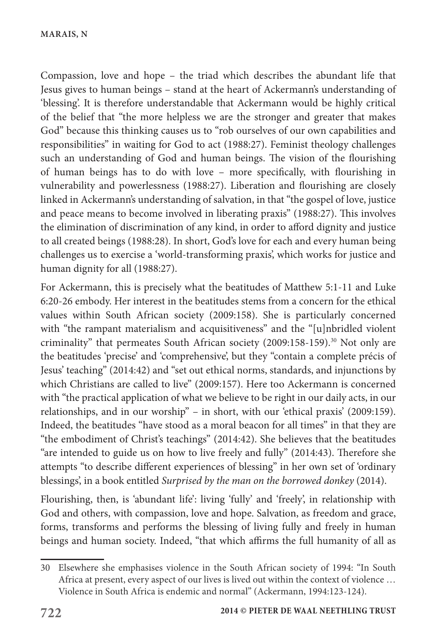Compassion, love and hope – the triad which describes the abundant life that Jesus gives to human beings – stand at the heart of Ackermann's understanding of 'blessing'. It is therefore understandable that Ackermann would be highly critical of the belief that "the more helpless we are the stronger and greater that makes God" because this thinking causes us to "rob ourselves of our own capabilities and responsibilities" in waiting for God to act (1988:27). Feminist theology challenges such an understanding of God and human beings. The vision of the flourishing of human beings has to do with love – more specifically, with flourishing in vulnerability and powerlessness (1988:27). Liberation and flourishing are closely linked in Ackermann's understanding of salvation, in that "the gospel of love, justice and peace means to become involved in liberating praxis" (1988:27). This involves the elimination of discrimination of any kind, in order to afford dignity and justice to all created beings (1988:28). In short, God's love for each and every human being challenges us to exercise a 'world-transforming praxis', which works for justice and human dignity for all (1988:27).

For Ackermann, this is precisely what the beatitudes of Matthew 5:1-11 and Luke 6:20-26 embody. Her interest in the beatitudes stems from a concern for the ethical values within South African society (2009:158). She is particularly concerned with "the rampant materialism and acquisitiveness" and the "[u]nbridled violent criminality" that permeates South African society (2009:158-159).<sup>30</sup> Not only are the beatitudes 'precise' and 'comprehensive', but they "contain a complete précis of Jesus' teaching" (2014:42) and "set out ethical norms, standards, and injunctions by which Christians are called to live" (2009:157). Here too Ackermann is concerned with "the practical application of what we believe to be right in our daily acts, in our relationships, and in our worship" – in short, with our 'ethical praxis' (2009:159). Indeed, the beatitudes "have stood as a moral beacon for all times" in that they are "the embodiment of Christ's teachings" (2014:42). She believes that the beatitudes "are intended to guide us on how to live freely and fully" (2014:43). Therefore she attempts "to describe different experiences of blessing" in her own set of 'ordinary blessings', in a book entitled *Surprised by the man on the borrowed donkey* (2014).

Flourishing, then, is 'abundant life': living 'fully' and 'freely', in relationship with God and others, with compassion, love and hope. Salvation, as freedom and grace, forms, transforms and performs the blessing of living fully and freely in human beings and human society. Indeed, "that which affirms the full humanity of all as

<sup>30</sup> Elsewhere she emphasises violence in the South African society of 1994: "In South Africa at present, every aspect of our lives is lived out within the context of violence … Violence in South Africa is endemic and normal" (Ackermann, 1994:123-124).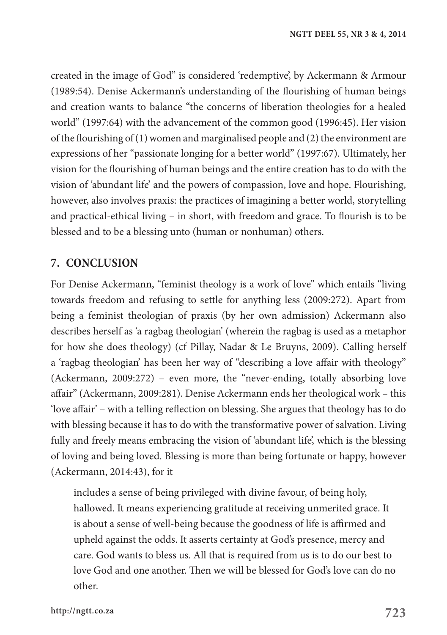created in the image of God" is considered 'redemptive', by Ackermann & Armour (1989:54). Denise Ackermann's understanding of the flourishing of human beings and creation wants to balance "the concerns of liberation theologies for a healed world" (1997:64) with the advancement of the common good (1996:45). Her vision of the flourishing of  $(1)$  women and marginalised people and  $(2)$  the environment are expressions of her "passionate longing for a better world" (1997:67). Ultimately, her vision for the flourishing of human beings and the entire creation has to do with the vision of 'abundant life' and the powers of compassion, love and hope. Flourishing, however, also involves praxis: the practices of imagining a better world, storytelling and practical-ethical living – in short, with freedom and grace. To flourish is to be blessed and to be a blessing unto (human or nonhuman) others.

## **7. CONCLUSION**

For Denise Ackermann, "feminist theology is a work of love" which entails "living towards freedom and refusing to settle for anything less (2009:272). Apart from being a feminist theologian of praxis (by her own admission) Ackermann also describes herself as 'a ragbag theologian' (wherein the ragbag is used as a metaphor for how she does theology) (cf Pillay, Nadar & Le Bruyns, 2009). Calling herself a 'ragbag theologian' has been her way of "describing a love affair with theology" (Ackermann, 2009:272) – even more, the "never-ending, totally absorbing love affair" (Ackermann, 2009:281). Denise Ackermann ends her theological work – this 'love affair' – with a telling reflection on blessing. She argues that theology has to do with blessing because it has to do with the transformative power of salvation. Living fully and freely means embracing the vision of 'abundant life', which is the blessing of loving and being loved. Blessing is more than being fortunate or happy, however (Ackermann, 2014:43), for it

includes a sense of being privileged with divine favour, of being holy, hallowed. It means experiencing gratitude at receiving unmerited grace. It is about a sense of well-being because the goodness of life is affirmed and upheld against the odds. It asserts certainty at God's presence, mercy and care. God wants to bless us. All that is required from us is to do our best to love God and one another. Then we will be blessed for God's love can do no other.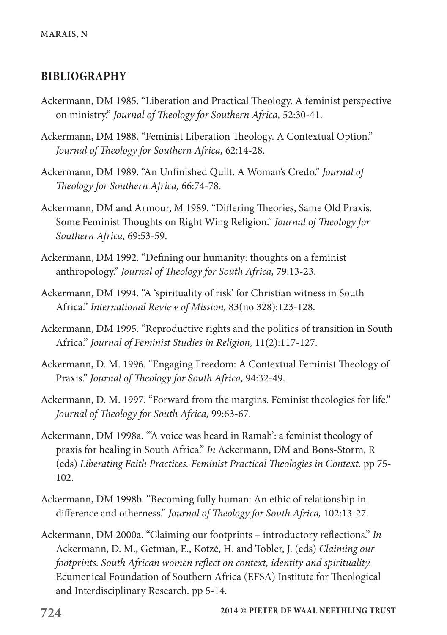#### **BIBLIOGRAPHY**

- Ackermann, DM 1985. "Liberation and Practical Theology. A feminist perspective on ministry." *Journal of Theology for Southern Africa,* 52:30-41.
- Ackermann, DM 1988. "Feminist Liberation Theology. A Contextual Option." *Journal of Theology for Southern Africa,* 62:14-28.
- Ackermann, DM 1989. "An Unfinished Quilt. A Woman's Credo." *Journal of Theology for Southern Africa,* 66:74-78.
- Ackermann, DM and Armour, M 1989. "Differing Theories, Same Old Praxis. Some Feminist Thoughts on Right Wing Religion." *Journal of Theology for Southern Africa,* 69:53-59.
- Ackermann, DM 1992. "Defining our humanity: thoughts on a feminist anthropology." *Journal of Theology for South Africa,* 79:13-23.
- Ackermann, DM 1994. "A 'spirituality of risk' for Christian witness in South Africa." *International Review of Mission,* 83(no 328):123-128.
- Ackermann, DM 1995. "Reproductive rights and the politics of transition in South Africa." *Journal of Feminist Studies in Religion,* 11(2):117-127.
- Ackermann, D. M. 1996. "Engaging Freedom: A Contextual Feminist Theology of Praxis." *Journal of Theology for South Africa,* 94:32-49.
- Ackermann, D. M. 1997. "Forward from the margins. Feminist theologies for life." *Journal of Theology for South Africa,* 99:63-67.
- Ackermann, DM 1998a. "'A voice was heard in Ramah': a feminist theology of praxis for healing in South Africa." *In* Ackermann, DM and Bons-Storm, R (eds) *Liberating Faith Practices. Feminist Practical Theologies in Context.* pp 75- 102.
- Ackermann, DM 1998b. "Becoming fully human: An ethic of relationship in difference and otherness." *Journal of Theology for South Africa,* 102:13-27.
- Ackermann, DM 2000a. "Claiming our footprints introductory reflections." *In* Ackermann, D. M., Getman, E., Kotzé, H. and Tobler, J. (eds) *Claiming our footprints. South African women reflect on context, identity and spirituality.* Ecumenical Foundation of Southern Africa (EFSA) Institute for Theological and Interdisciplinary Research. pp 5-14.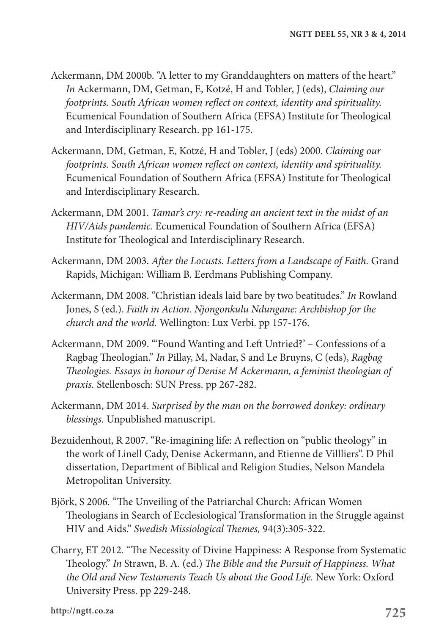- Ackermann, DM 2000b. "A letter to my Granddaughters on matters of the heart." *In* Ackermann, DM, Getman, E, Kotzé, H and Tobler, J (eds), *Claiming our footprints. South African women reflect on context, identity and spirituality.* Ecumenical Foundation of Southern Africa (EFSA) Institute for Theological and Interdisciplinary Research. pp 161-175.
- Ackermann, DM, Getman, E, Kotzé, H and Tobler, J (eds) 2000. *Claiming our footprints. South African women reflect on context, identity and spirituality.* Ecumenical Foundation of Southern Africa (EFSA) Institute for Theological and Interdisciplinary Research.
- Ackermann, DM 2001. *Tamar's cry: re-reading an ancient text in the midst of an HIV/Aids pandemic.* Ecumenical Foundation of Southern Africa (EFSA) Institute for Theological and Interdisciplinary Research.
- Ackermann, DM 2003. *After the Locusts. Letters from a Landscape of Faith.* Grand Rapids, Michigan: William B. Eerdmans Publishing Company.
- Ackermann, DM 2008. "Christian ideals laid bare by two beatitudes." *In* Rowland Jones, S (ed.). *Faith in Action. Njongonkulu Ndungane: Archbishop for the church and the world.* Wellington: Lux Verbi. pp 157-176.
- Ackermann, DM 2009. "'Found Wanting and Left Untried?' Confessions of a Ragbag Theologian." *In* Pillay, M, Nadar, S and Le Bruyns, C (eds), *Ragbag Theologies. Essays in honour of Denise M Ackermann, a feminist theologian of praxis.* Stellenbosch: SUN Press. pp 267-282.
- Ackermann, DM 2014. *Surprised by the man on the borrowed donkey: ordinary blessings.* Unpublished manuscript.
- Bezuidenhout, R 2007. "Re-imagining life: A reflection on "public theology" in the work of Linell Cady, Denise Ackermann, and Etienne de Villliers". D Phil dissertation, Department of Biblical and Religion Studies, Nelson Mandela Metropolitan University.
- Björk, S 2006. "The Unveiling of the Patriarchal Church: African Women Theologians in Search of Ecclesiological Transformation in the Struggle against HIV and Aids." *Swedish Missiological Themes,* 94(3):305-322.
- Charry, ET 2012. "The Necessity of Divine Happiness: A Response from Systematic Theology." *In* Strawn, B. A. (ed.) *The Bible and the Pursuit of Happiness. What the Old and New Testaments Teach Us about the Good Life.* New York: Oxford University Press. pp 229-248.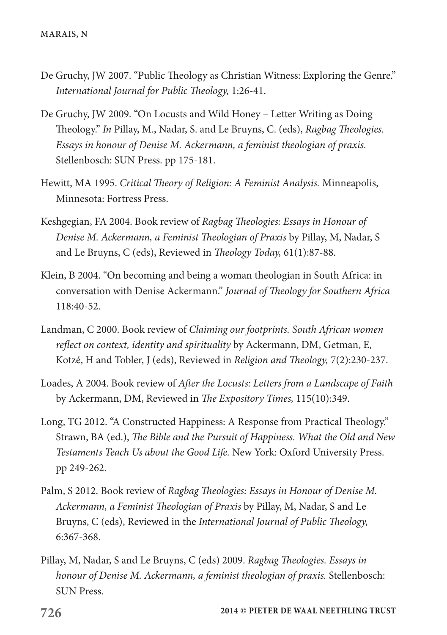- De Gruchy, JW 2007. "Public Theology as Christian Witness: Exploring the Genre." *International Journal for Public Theology,* 1:26-41.
- De Gruchy, JW 2009. "On Locusts and Wild Honey Letter Writing as Doing Theology." *In* Pillay, M., Nadar, S. and Le Bruyns, C. (eds), *Ragbag Theologies. Essays in honour of Denise M. Ackermann, a feminist theologian of praxis.* Stellenbosch: SUN Press. pp 175-181.
- Hewitt, MA 1995. *Critical Theory of Religion: A Feminist Analysis.* Minneapolis, Minnesota: Fortress Press.
- Keshgegian, FA 2004. Book review of *Ragbag Theologies: Essays in Honour of Denise M. Ackermann, a Feminist Theologian of Praxis* by Pillay, M, Nadar, S and Le Bruyns, C (eds), Reviewed in *Theology Today,* 61(1):87-88.
- Klein, B 2004. "On becoming and being a woman theologian in South Africa: in conversation with Denise Ackermann." *Journal of Theology for Southern Africa* 118:40-52.
- Landman, C 2000. Book review of *Claiming our footprints. South African women reflect on context, identity and spirituality* by Ackermann, DM, Getman, E, Kotzé, H and Tobler, J (eds), Reviewed in *Religion and Theology,* 7(2):230-237.
- Loades, A 2004. Book review of *After the Locusts: Letters from a Landscape of Faith* by Ackermann, DM, Reviewed in *The Expository Times,* 115(10):349.
- Long, TG 2012. "A Constructed Happiness: A Response from Practical Theology." Strawn, BA (ed.), *The Bible and the Pursuit of Happiness. What the Old and New Testaments Teach Us about the Good Life.* New York: Oxford University Press. pp 249-262.
- Palm, S 2012. Book review of *Ragbag Theologies: Essays in Honour of Denise M. Ackermann, a Feminist Theologian of Praxis* by Pillay, M, Nadar, S and Le Bruyns, C (eds), Reviewed in the *International Journal of Public Theology,* 6:367-368.
- Pillay, M, Nadar, S and Le Bruyns, C (eds) 2009. *Ragbag Theologies. Essays in honour of Denise M. Ackermann, a feminist theologian of praxis.* Stellenbosch: SUN Press.